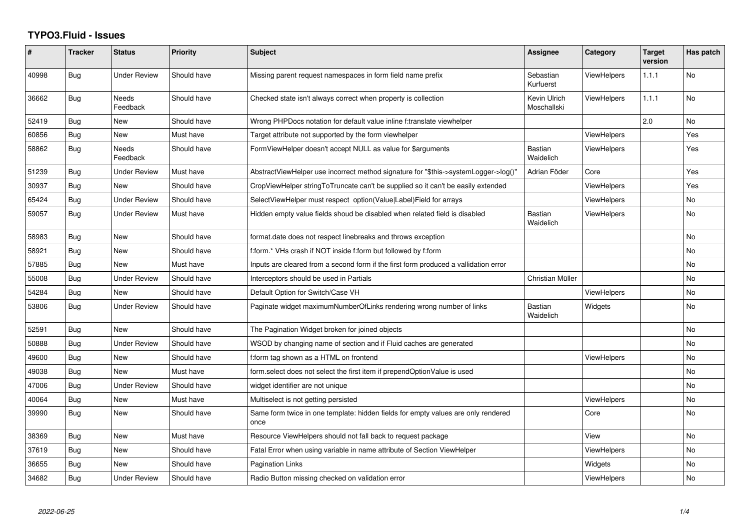## **TYPO3.Fluid - Issues**

| #     | <b>Tracker</b> | <b>Status</b>            | <b>Priority</b> | Subject                                                                                   | <b>Assignee</b>             | Category           | <b>Target</b><br>version | Has patch |
|-------|----------------|--------------------------|-----------------|-------------------------------------------------------------------------------------------|-----------------------------|--------------------|--------------------------|-----------|
| 40998 | <b>Bug</b>     | <b>Under Review</b>      | Should have     | Missing parent request namespaces in form field name prefix                               | Sebastian<br>Kurfuerst      | ViewHelpers        | 1.1.1                    | <b>No</b> |
| 36662 | Bug            | <b>Needs</b><br>Feedback | Should have     | Checked state isn't always correct when property is collection                            | Kevin Ulrich<br>Moschallski | <b>ViewHelpers</b> | 1.1.1                    | No        |
| 52419 | Bug            | New                      | Should have     | Wrong PHPDocs notation for default value inline f:translate viewhelper                    |                             |                    | 2.0                      | No        |
| 60856 | Bug            | <b>New</b>               | Must have       | Target attribute not supported by the form viewhelper                                     |                             | <b>ViewHelpers</b> |                          | Yes       |
| 58862 | Bug            | Needs<br>Feedback        | Should have     | FormViewHelper doesn't accept NULL as value for \$arguments                               | <b>Bastian</b><br>Waidelich | ViewHelpers        |                          | Yes       |
| 51239 | Bug            | <b>Under Review</b>      | Must have       | AbstractViewHelper use incorrect method signature for "\$this->systemLogger->log()"       | Adrian Föder                | Core               |                          | Yes       |
| 30937 | Bug            | New                      | Should have     | CropViewHelper stringToTruncate can't be supplied so it can't be easily extended          |                             | <b>ViewHelpers</b> |                          | Yes       |
| 65424 | Bug            | <b>Under Review</b>      | Should have     | SelectViewHelper must respect option(Value Label)Field for arrays                         |                             | ViewHelpers        |                          | No        |
| 59057 | <b>Bug</b>     | <b>Under Review</b>      | Must have       | Hidden empty value fields shoud be disabled when related field is disabled                | <b>Bastian</b><br>Waidelich | ViewHelpers        |                          | No        |
| 58983 | Bug            | New                      | Should have     | format.date does not respect linebreaks and throws exception                              |                             |                    |                          | No        |
| 58921 | Bug            | <b>New</b>               | Should have     | f:form.* VHs crash if NOT inside f:form but followed by f:form                            |                             |                    |                          | No        |
| 57885 | Bug            | New                      | Must have       | Inputs are cleared from a second form if the first form produced a vallidation error      |                             |                    |                          | No        |
| 55008 | Bug            | <b>Under Review</b>      | Should have     | Interceptors should be used in Partials                                                   | Christian Müller            |                    |                          | No        |
| 54284 | Bug            | New                      | Should have     | Default Option for Switch/Case VH                                                         |                             | <b>ViewHelpers</b> |                          | No        |
| 53806 | Bug            | <b>Under Review</b>      | Should have     | Paginate widget maximumNumberOfLinks rendering wrong number of links                      | <b>Bastian</b><br>Waidelich | Widgets            |                          | <b>No</b> |
| 52591 | <b>Bug</b>     | New                      | Should have     | The Pagination Widget broken for joined objects                                           |                             |                    |                          | No        |
| 50888 | <b>Bug</b>     | <b>Under Review</b>      | Should have     | WSOD by changing name of section and if Fluid caches are generated                        |                             |                    |                          | No        |
| 49600 | Bug            | New                      | Should have     | f:form tag shown as a HTML on frontend                                                    |                             | <b>ViewHelpers</b> |                          | No        |
| 49038 | <b>Bug</b>     | New                      | Must have       | form select does not select the first item if prependOptionValue is used                  |                             |                    |                          | No        |
| 47006 | Bug            | <b>Under Review</b>      | Should have     | widget identifier are not unique                                                          |                             |                    |                          | No        |
| 40064 | <b>Bug</b>     | New                      | Must have       | Multiselect is not getting persisted                                                      |                             | <b>ViewHelpers</b> |                          | No        |
| 39990 | Bug            | New                      | Should have     | Same form twice in one template: hidden fields for empty values are only rendered<br>once |                             | Core               |                          | No        |
| 38369 | <b>Bug</b>     | New                      | Must have       | Resource ViewHelpers should not fall back to request package                              |                             | View               |                          | No        |
| 37619 | Bug            | <b>New</b>               | Should have     | Fatal Error when using variable in name attribute of Section ViewHelper                   |                             | <b>ViewHelpers</b> |                          | No        |
| 36655 | Bug            | New                      | Should have     | <b>Pagination Links</b>                                                                   |                             | Widgets            |                          | No        |
| 34682 | <b>Bug</b>     | <b>Under Review</b>      | Should have     | Radio Button missing checked on validation error                                          |                             | ViewHelpers        |                          | No        |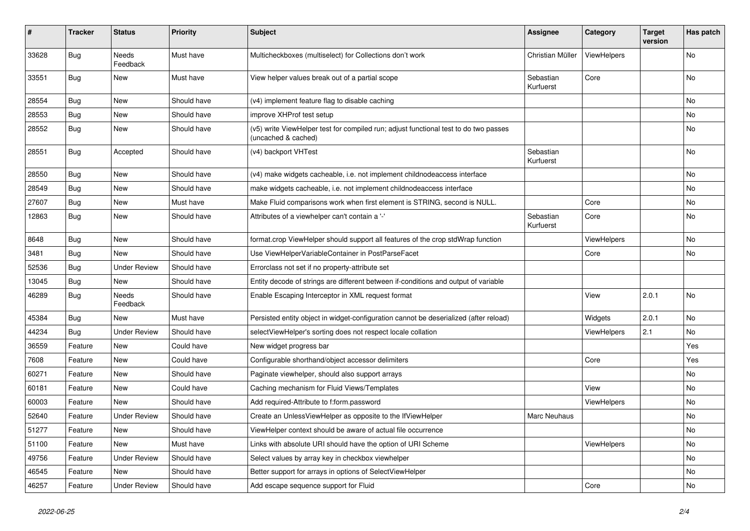| #     | <b>Tracker</b> | <b>Status</b>            | <b>Priority</b> | <b>Subject</b>                                                                                              | <b>Assignee</b>        | Category    | <b>Target</b><br>version | Has patch |
|-------|----------------|--------------------------|-----------------|-------------------------------------------------------------------------------------------------------------|------------------------|-------------|--------------------------|-----------|
| 33628 | Bug            | <b>Needs</b><br>Feedback | Must have       | Multicheckboxes (multiselect) for Collections don't work                                                    | Christian Müller       | ViewHelpers |                          | No        |
| 33551 | <b>Bug</b>     | New                      | Must have       | View helper values break out of a partial scope                                                             | Sebastian<br>Kurfuerst | Core        |                          | No        |
| 28554 | Bug            | New                      | Should have     | (v4) implement feature flag to disable caching                                                              |                        |             |                          | No        |
| 28553 | Bug            | New                      | Should have     | improve XHProf test setup                                                                                   |                        |             |                          | No        |
| 28552 | Bug            | New                      | Should have     | (v5) write ViewHelper test for compiled run; adjust functional test to do two passes<br>(uncached & cached) |                        |             |                          | No        |
| 28551 | Bug            | Accepted                 | Should have     | (v4) backport VHTest                                                                                        | Sebastian<br>Kurfuerst |             |                          | No        |
| 28550 | Bug            | New                      | Should have     | (v4) make widgets cacheable, i.e. not implement childnodeaccess interface                                   |                        |             |                          | No.       |
| 28549 | <b>Bug</b>     | <b>New</b>               | Should have     | make widgets cacheable, i.e. not implement childnodeaccess interface                                        |                        |             |                          | No        |
| 27607 | Bug            | New                      | Must have       | Make Fluid comparisons work when first element is STRING, second is NULL.                                   |                        | Core        |                          | No.       |
| 12863 | <b>Bug</b>     | New                      | Should have     | Attributes of a viewhelper can't contain a '-'                                                              | Sebastian<br>Kurfuerst | Core        |                          | No        |
| 8648  | Bug            | New                      | Should have     | format.crop ViewHelper should support all features of the crop stdWrap function                             |                        | ViewHelpers |                          | No        |
| 3481  | Bug            | <b>New</b>               | Should have     | Use ViewHelperVariableContainer in PostParseFacet                                                           |                        | Core        |                          | No        |
| 52536 | Bug            | <b>Under Review</b>      | Should have     | Errorclass not set if no property-attribute set                                                             |                        |             |                          |           |
| 13045 | <b>Bug</b>     | New                      | Should have     | Entity decode of strings are different between if-conditions and output of variable                         |                        |             |                          |           |
| 46289 | Bug            | <b>Needs</b><br>Feedback | Should have     | Enable Escaping Interceptor in XML request format                                                           |                        | View        | 2.0.1                    | No        |
| 45384 | Bug            | New                      | Must have       | Persisted entity object in widget-configuration cannot be deserialized (after reload)                       |                        | Widgets     | 2.0.1                    | No        |
| 44234 | Bug            | <b>Under Review</b>      | Should have     | selectViewHelper's sorting does not respect locale collation                                                |                        | ViewHelpers | 2.1                      | No        |
| 36559 | Feature        | New                      | Could have      | New widget progress bar                                                                                     |                        |             |                          | Yes       |
| 7608  | Feature        | New                      | Could have      | Configurable shorthand/object accessor delimiters                                                           |                        | Core        |                          | Yes       |
| 60271 | Feature        | New                      | Should have     | Paginate viewhelper, should also support arrays                                                             |                        |             |                          | No        |
| 60181 | Feature        | New                      | Could have      | Caching mechanism for Fluid Views/Templates                                                                 |                        | View        |                          | No        |
| 60003 | Feature        | New                      | Should have     | Add required-Attribute to f:form.password                                                                   |                        | ViewHelpers |                          | No        |
| 52640 | Feature        | <b>Under Review</b>      | Should have     | Create an UnlessViewHelper as opposite to the IfViewHelper                                                  | Marc Neuhaus           |             |                          | No        |
| 51277 | Feature        | New                      | Should have     | ViewHelper context should be aware of actual file occurrence                                                |                        |             |                          | No        |
| 51100 | Feature        | New                      | Must have       | Links with absolute URI should have the option of URI Scheme                                                |                        | ViewHelpers |                          | No        |
| 49756 | Feature        | <b>Under Review</b>      | Should have     | Select values by array key in checkbox viewhelper                                                           |                        |             |                          | No        |
| 46545 | Feature        | New                      | Should have     | Better support for arrays in options of SelectViewHelper                                                    |                        |             |                          | No        |
| 46257 | Feature        | <b>Under Review</b>      | Should have     | Add escape sequence support for Fluid                                                                       |                        | Core        |                          | No        |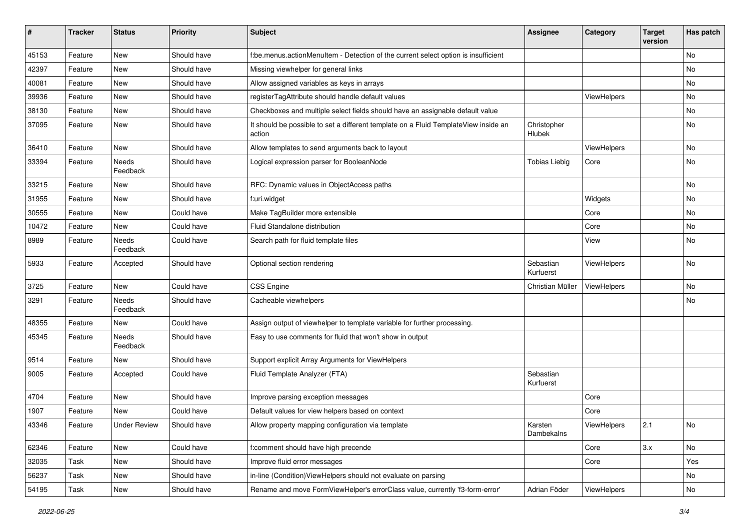| $\sharp$ | <b>Tracker</b> | <b>Status</b>       | <b>Priority</b> | <b>Subject</b>                                                                                | <b>Assignee</b>        | Category    | <b>Target</b><br>version | Has patch |
|----------|----------------|---------------------|-----------------|-----------------------------------------------------------------------------------------------|------------------------|-------------|--------------------------|-----------|
| 45153    | Feature        | New                 | Should have     | f:be.menus.actionMenuItem - Detection of the current select option is insufficient            |                        |             |                          | No        |
| 42397    | Feature        | New                 | Should have     | Missing viewhelper for general links                                                          |                        |             |                          | No        |
| 40081    | Feature        | New                 | Should have     | Allow assigned variables as keys in arrays                                                    |                        |             |                          | No        |
| 39936    | Feature        | New                 | Should have     | registerTagAttribute should handle default values                                             |                        | ViewHelpers |                          | No        |
| 38130    | Feature        | New                 | Should have     | Checkboxes and multiple select fields should have an assignable default value                 |                        |             |                          | No        |
| 37095    | Feature        | New                 | Should have     | It should be possible to set a different template on a Fluid TemplateView inside an<br>action | Christopher<br>Hlubek  |             |                          | No        |
| 36410    | Feature        | New                 | Should have     | Allow templates to send arguments back to layout                                              |                        | ViewHelpers |                          | No        |
| 33394    | Feature        | Needs<br>Feedback   | Should have     | Logical expression parser for BooleanNode                                                     | <b>Tobias Liebig</b>   | Core        |                          | No        |
| 33215    | Feature        | New                 | Should have     | RFC: Dynamic values in ObjectAccess paths                                                     |                        |             |                          | No        |
| 31955    | Feature        | New                 | Should have     | f:uri.widget                                                                                  |                        | Widgets     |                          | No        |
| 30555    | Feature        | New                 | Could have      | Make TagBuilder more extensible                                                               |                        | Core        |                          | No        |
| 10472    | Feature        | New                 | Could have      | Fluid Standalone distribution                                                                 |                        | Core        |                          | No        |
| 8989     | Feature        | Needs<br>Feedback   | Could have      | Search path for fluid template files                                                          |                        | View        |                          | No        |
| 5933     | Feature        | Accepted            | Should have     | Optional section rendering                                                                    | Sebastian<br>Kurfuerst | ViewHelpers |                          | No        |
| 3725     | Feature        | New                 | Could have      | <b>CSS Engine</b>                                                                             | Christian Müller       | ViewHelpers |                          | No        |
| 3291     | Feature        | Needs<br>Feedback   | Should have     | Cacheable viewhelpers                                                                         |                        |             |                          | No        |
| 48355    | Feature        | New                 | Could have      | Assign output of viewhelper to template variable for further processing.                      |                        |             |                          |           |
| 45345    | Feature        | Needs<br>Feedback   | Should have     | Easy to use comments for fluid that won't show in output                                      |                        |             |                          |           |
| 9514     | Feature        | New                 | Should have     | Support explicit Array Arguments for ViewHelpers                                              |                        |             |                          |           |
| 9005     | Feature        | Accepted            | Could have      | Fluid Template Analyzer (FTA)                                                                 | Sebastian<br>Kurfuerst |             |                          |           |
| 4704     | Feature        | New                 | Should have     | Improve parsing exception messages                                                            |                        | Core        |                          |           |
| 1907     | Feature        | New                 | Could have      | Default values for view helpers based on context                                              |                        | Core        |                          |           |
| 43346    | Feature        | <b>Under Review</b> | Should have     | Allow property mapping configuration via template                                             | Karsten<br>Dambekalns  | ViewHelpers | 2.1                      | No        |
| 62346    | Feature        | New                 | Could have      | f:comment should have high precende                                                           |                        | Core        | 3.x                      | No        |
| 32035    | Task           | New                 | Should have     | Improve fluid error messages                                                                  |                        | Core        |                          | Yes       |
| 56237    | Task           | New                 | Should have     | in-line (Condition) ViewHelpers should not evaluate on parsing                                |                        |             |                          | No        |
| 54195    | Task           | New                 | Should have     | Rename and move FormViewHelper's errorClass value, currently 'f3-form-error'                  | Adrian Föder           | ViewHelpers |                          | No        |